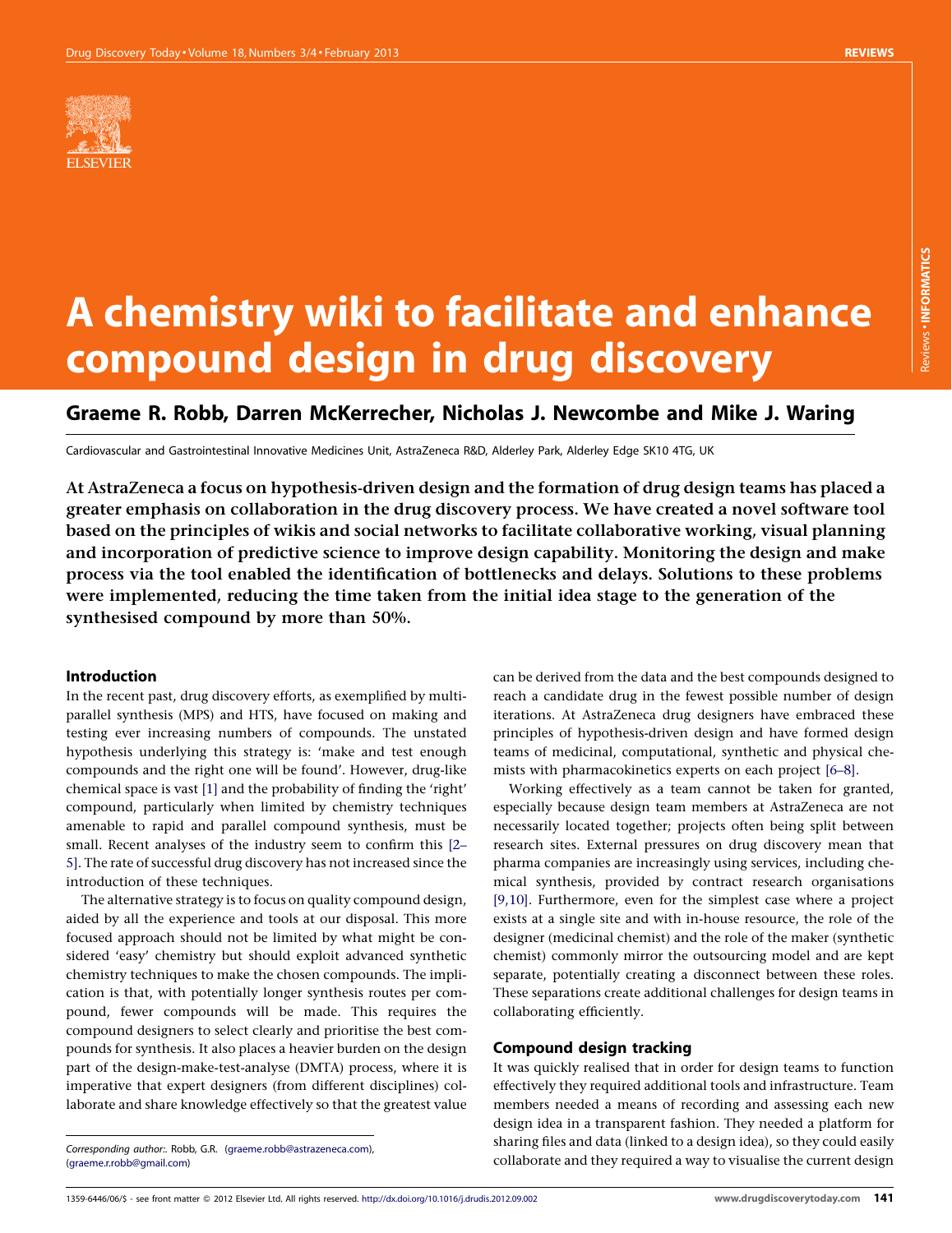

# A chemistry wiki to facilitate and enhance compound design in drug discovery

# Graeme R. Robb, Darren McKerrecher, Nicholas J. Newcombe and Mike J. Waring

Cardiovascular and Gastrointestinal Innovative Medicines Unit, AstraZeneca R&D, Alderley Park, Alderley Edge SK10 4TG, UK

At AstraZeneca a focus on hypothesis-driven design and the formation of drug design teams has placed a greater emphasis on collaboration in the drug discovery process. We have created a novel software tool based on the principles of wikis and social networks to facilitate collaborative working, visual planning and incorporation of predictive science to improve design capability. Monitoring the design and make process via the tool enabled the identification of bottlenecks and delays. Solutions to these problems were implemented, reducing the time taken from the initial idea stage to the generation of the synthesised compound by more than 50%.

#### Introduction

In the recent past, drug discovery efforts, as exemplified by multiparallel synthesis (MPS) and HTS, have focused on making and testing ever increasing numbers of compounds. The unstated hypothesis underlying this strategy is: 'make and test enough compounds and the right one will be found'. However, drug-like chemical space is vast [\[1\]](#page-6-0) and the probability of finding the 'right' compound, particularly when limited by chemistry techniques amenable to rapid and parallel compound synthesis, must be small. Recent analyses of the industry seem to confirm this [\[2–](#page-6-0) [5\]](#page-6-0). The rate of successful drug discovery has not increased since the introduction of these techniques.

The alternative strategy is to focus on quality compound design, aided by all the experience and tools at our disposal. This more focused approach should not be limited by what might be considered 'easy' chemistry but should exploit advanced synthetic chemistry techniques to make the chosen compounds. The implication is that, with potentially longer synthesis routes per compound, fewer compounds will be made. This requires the compound designers to select clearly and prioritise the best compounds for synthesis. It also places a heavier burden on the design part of the design-make-test-analyse (DMTA) process, where it is imperative that expert designers (from different disciplines) collaborate and share knowledge effectively so that the greatest value can be derived from the data and the best compounds designed to reach a candidate drug in the fewest possible number of design iterations. At AstraZeneca drug designers have embraced these principles of hypothesis-driven design and have formed design teams of medicinal, computational, synthetic and physical chemists with pharmacokinetics experts on each project [\[6–8\].](#page-6-0)

Working effectively as a team cannot be taken for granted, especially because design team members at AstraZeneca are not necessarily located together; projects often being split between research sites. External pressures on drug discovery mean that pharma companies are increasingly using services, including chemical synthesis, provided by contract research organisations [\[9,10\]](#page-6-0). Furthermore, even for the simplest case where a project exists at a single site and with in-house resource, the role of the designer (medicinal chemist) and the role of the maker (synthetic chemist) commonly mirror the outsourcing model and are kept separate, potentially creating a disconnect between these roles. These separations create additional challenges for design teams in collaborating efficiently.

#### Compound design tracking

It was quickly realised that in order for design teams to function effectively they required additional tools and infrastructure. Team members needed a means of recording and assessing each new design idea in a transparent fashion. They needed a platform for sharing files and data (linked to a design idea), so they could easily collaborate and they required a way to visualise the current design

Corresponding author:. Robb, G.R. ([graeme.robb@astrazeneca.com\)](mailto:graeme.robb@astrazeneca.com), ([graeme.r.robb@gmail.com\)](mailto:graeme.r.robb@gmail.com)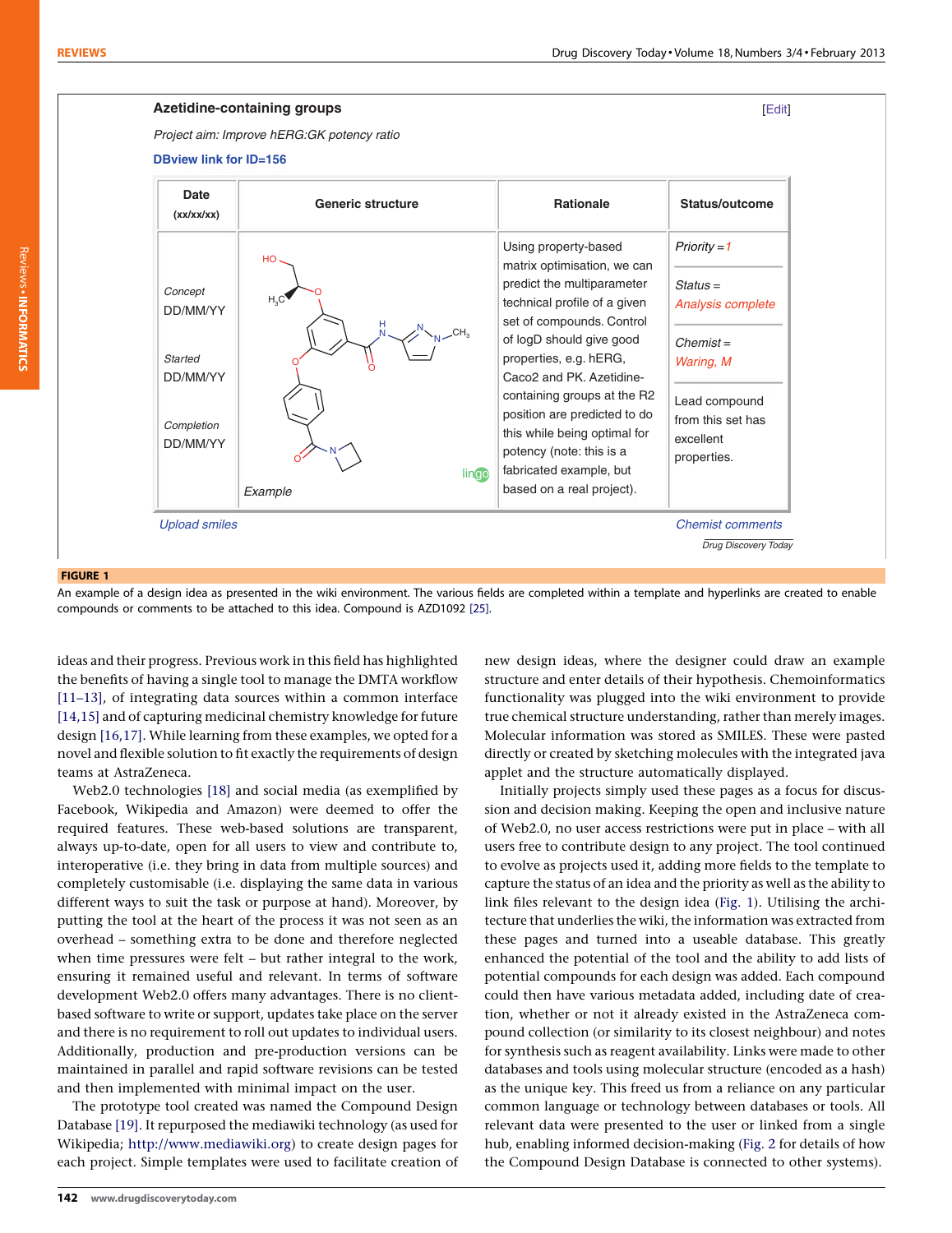[Edit]

#### **Azetidine-containing groups**

*Project aim: Improve hERG:GK potency ratio*

## **DBview link for ID=156**

| (xx/xx/xx)                                                                         | <b>Generic structure</b>     | <b>Rationale</b>                                                                                                                                                                                                                                                                                                                                                                                                                | Status/outcome                                                                                                                                  |
|------------------------------------------------------------------------------------|------------------------------|---------------------------------------------------------------------------------------------------------------------------------------------------------------------------------------------------------------------------------------------------------------------------------------------------------------------------------------------------------------------------------------------------------------------------------|-------------------------------------------------------------------------------------------------------------------------------------------------|
| HO.<br>Concept<br>DD/MM/YY<br><b>Started</b><br>DD/MM/YY<br>Completion<br>DD/MM/YY | $H_3C$<br>н<br>.CH,<br>lingo | Using property-based<br>matrix optimisation, we can<br>predict the multiparameter<br>technical profile of a given<br>set of compounds. Control<br>of logD should give good<br>properties, e.g. hERG,<br>Caco <sub>2</sub> and PK, Azetidine-<br>containing groups at the R2<br>position are predicted to do<br>this while being optimal for<br>potency (note: this is a<br>fabricated example, but<br>based on a real project). | $Priority = 1$<br>$Status =$<br>Analysis complete<br>$Chemist =$<br>Waring, M<br>Lead compound<br>from this set has<br>excellent<br>properties. |
| Example                                                                            |                              |                                                                                                                                                                                                                                                                                                                                                                                                                                 |                                                                                                                                                 |
| <b>Upload smiles</b>                                                               |                              |                                                                                                                                                                                                                                                                                                                                                                                                                                 | <b>Chemist comments</b>                                                                                                                         |

#### FIGURE 1

An example of a design idea as presented in the wiki environment. The various fields are completed within a template and hyperlinks are created to enable compounds or comments to be attached to this idea. Compound is AZD1092 [\[25\].](#page-6-0)

ideas and their progress. Previous work in this field has highlighted the benefits of having a single tool to manage the DMTA workflow [\[11–13\]](#page-6-0), of integrating data sources within a common interface [\[14,15\]](#page-6-0) and of capturing medicinal chemistry knowledge for future design [\[16,17\].](#page-6-0) While learning from these examples, we opted for a novel and flexible solution to fit exactly the requirements of design teams at AstraZeneca.

Web2.0 technologies [\[18\]](#page-6-0) and social media (as exemplified by Facebook, Wikipedia and Amazon) were deemed to offer the required features. These web-based solutions are transparent, always up-to-date, open for all users to view and contribute to, interoperative (i.e. they bring in data from multiple sources) and completely customisable (i.e. displaying the same data in various different ways to suit the task or purpose at hand). Moreover, by putting the tool at the heart of the process it was not seen as an overhead – something extra to be done and therefore neglected when time pressures were felt – but rather integral to the work, ensuring it remained useful and relevant. In terms of software development Web2.0 offers many advantages. There is no clientbased software to write or support, updates take place on the server and there is no requirement to roll out updates to individual users. Additionally, production and pre-production versions can be maintained in parallel and rapid software revisions can be tested and then implemented with minimal impact on the user.

The prototype tool created was named the Compound Design Database [\[19\]](#page-6-0). It repurposed the mediawiki technology (as used for Wikipedia; [http://www.mediawiki.org](http://www.mediawiki.org/)) to create design pages for each project. Simple templates were used to facilitate creation of

142 www.drugdiscoverytoday.com

new design ideas, where the designer could draw an example structure and enter details of their hypothesis. Chemoinformatics functionality was plugged into the wiki environment to provide true chemical structure understanding, rather than merely images. Molecular information was stored as SMILES. These were pasted directly or created by sketching molecules with the integrated java applet and the structure automatically displayed.

Initially projects simply used these pages as a focus for discussion and decision making. Keeping the open and inclusive nature of Web2.0, no user access restrictions were put in place – with all users free to contribute design to any project. The tool continued to evolve as projects used it, adding more fields to the template to capture the status of an idea and the priority as well as the ability to link files relevant to the design idea (Fig. 1). Utilising the architecture that underlies the wiki, the information was extracted from these pages and turned into a useable database. This greatly enhanced the potential of the tool and the ability to add lists of potential compounds for each design was added. Each compound could then have various metadata added, including date of creation, whether or not it already existed in the AstraZeneca compound collection (or similarity to its closest neighbour) and notes for synthesis such as reagent availability. Links were made to other databases and tools using molecular structure (encoded as a hash) as the unique key. This freed us from a reliance on any particular common language or technology between databases or tools. All relevant data were presented to the user or linked from a single hub, enabling informed decision-making [\(Fig.](#page-2-0) 2 for details of how the Compound Design Database is connected to other systems).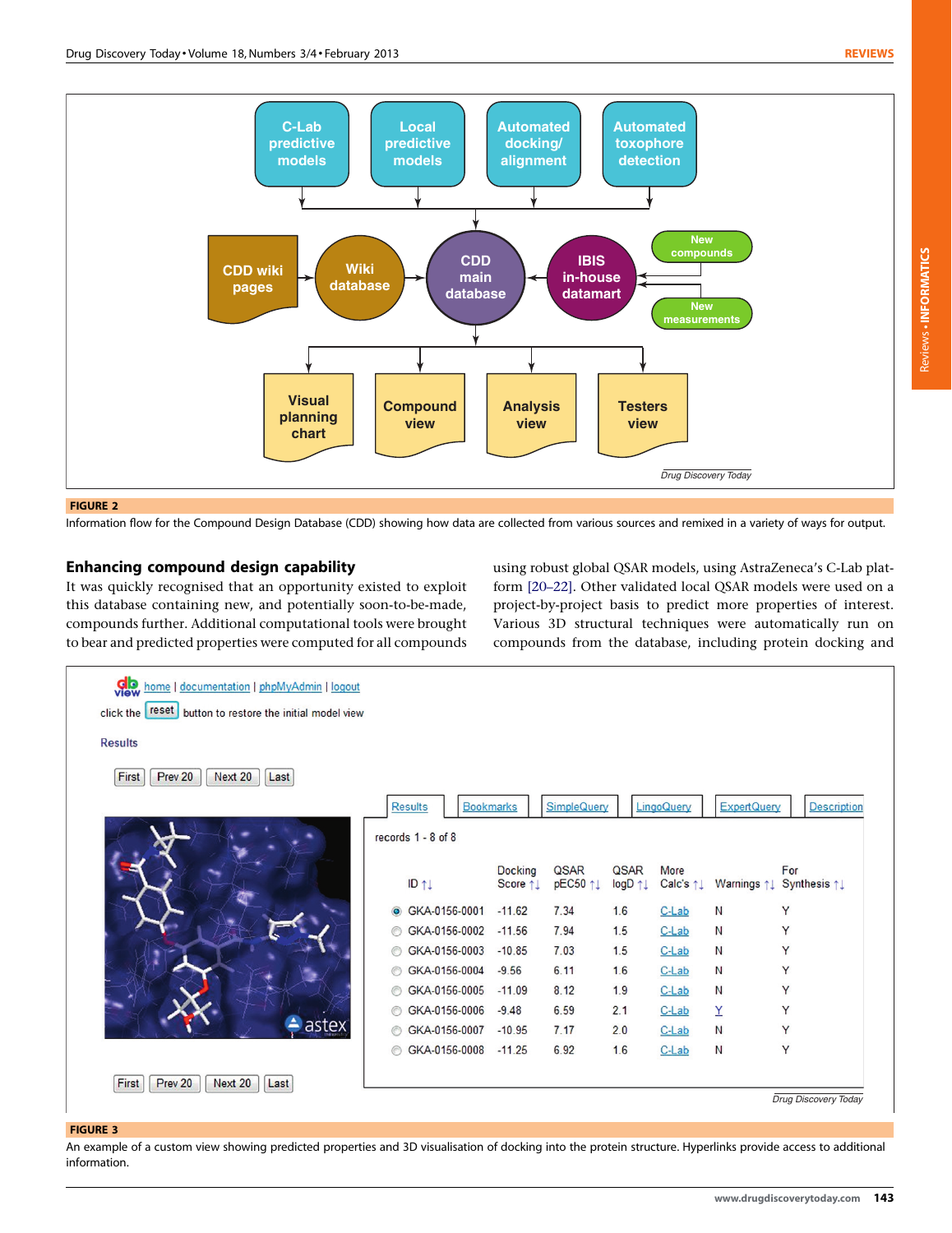Reviews -

Reviews . INFORMATICS INFORMATICS

<span id="page-2-0"></span>

#### FIGURE 2

Information flow for the Compound Design Database (CDD) showing how data are collected from various sources and remixed in a variety of ways for output.

## Enhancing compound design capability

It was quickly recognised that an opportunity existed to exploit this database containing new, and potentially soon-to-be-made, compounds further. Additional computational tools were brought to bear and predicted properties were computed for all compounds using robust global QSAR models, using AstraZeneca's C-Lab platform [\[20–22\].](#page-6-0) Other validated local QSAR models were used on a project-by-project basis to predict more properties of interest. Various 3D structural techniques were automatically run on compounds from the database, including protein docking and

| View home   documentation   phpMyAdmin   logout<br>reset<br>click the<br>button to restore the initial model view |                                    |                    |                    |                                    |                                      |                    |                      |
|-------------------------------------------------------------------------------------------------------------------|------------------------------------|--------------------|--------------------|------------------------------------|--------------------------------------|--------------------|----------------------|
| <b>Results</b>                                                                                                    |                                    |                    |                    |                                    |                                      |                    |                      |
| Next 20<br>Prev 20<br>First<br>Last                                                                               |                                    |                    |                    |                                    |                                      |                    |                      |
|                                                                                                                   | <b>Bookmarks</b><br><b>Results</b> |                    | <b>SimpleQuery</b> |                                    | LingoQuery                           | <b>ExpertQuery</b> | <b>Description</b>   |
| records 1 - 8 of 8                                                                                                |                                    |                    |                    |                                    |                                      |                    |                      |
|                                                                                                                   | ID <sub>1</sub>                    | Docking<br>Score 1 | QSAR<br>pEC50 1    | QSAR<br>$logD \uparrow \downarrow$ | More<br>Calc's $\uparrow \downarrow$ | Warnings 1         | For<br>Synthesis 1   |
|                                                                                                                   | GKA-0156-0001<br>$\bullet$         | $-11.62$           | 7.34               | 1.6                                | C-Lab                                | Ν                  | Υ                    |
|                                                                                                                   | GKA-0156-0002                      | $-11.56$           | 7.94               | 1.5                                | C-Lab                                | Ν                  | Υ                    |
|                                                                                                                   | GKA-0156-0003<br>$\circledcirc$    | $-10.85$           | 7.03               | 1.5                                | C-Lab                                | N                  | Y                    |
|                                                                                                                   | GKA-0156-0004<br>⊚                 | $-9.56$            | 6.11               | 1.6                                | C-Lab                                | Ν                  | Υ                    |
|                                                                                                                   | GKA-0156-0005<br>$\circledcirc$    | $-11.09$           | 8.12               | 1.9                                | C-Lab                                | Ν                  | Υ                    |
|                                                                                                                   | GKA-0156-0006<br>$\odot$           | $-9.48$            | 6.59               | 2.1                                | C-Lab                                | Y                  | Y                    |
| astex                                                                                                             | GKA-0156-0007<br>⊚                 | $-10.95$           | 7.17               | 2.0                                | C-Lab                                | Ν                  | Y                    |
|                                                                                                                   | GKA-0156-0008<br>$\circledcirc$    | $-11.25$           | 6.92               | 1.6                                | C-Lab                                | Ν                  | Υ                    |
| Prev 20<br>Next 20<br>First<br>Last                                                                               |                                    |                    |                    |                                    |                                      |                    |                      |
|                                                                                                                   |                                    |                    |                    |                                    |                                      |                    | Drug Discovery Today |

#### FIGURE 3

An example of a custom view showing predicted properties and 3D visualisation of docking into the protein structure. Hyperlinks provide access to additional information.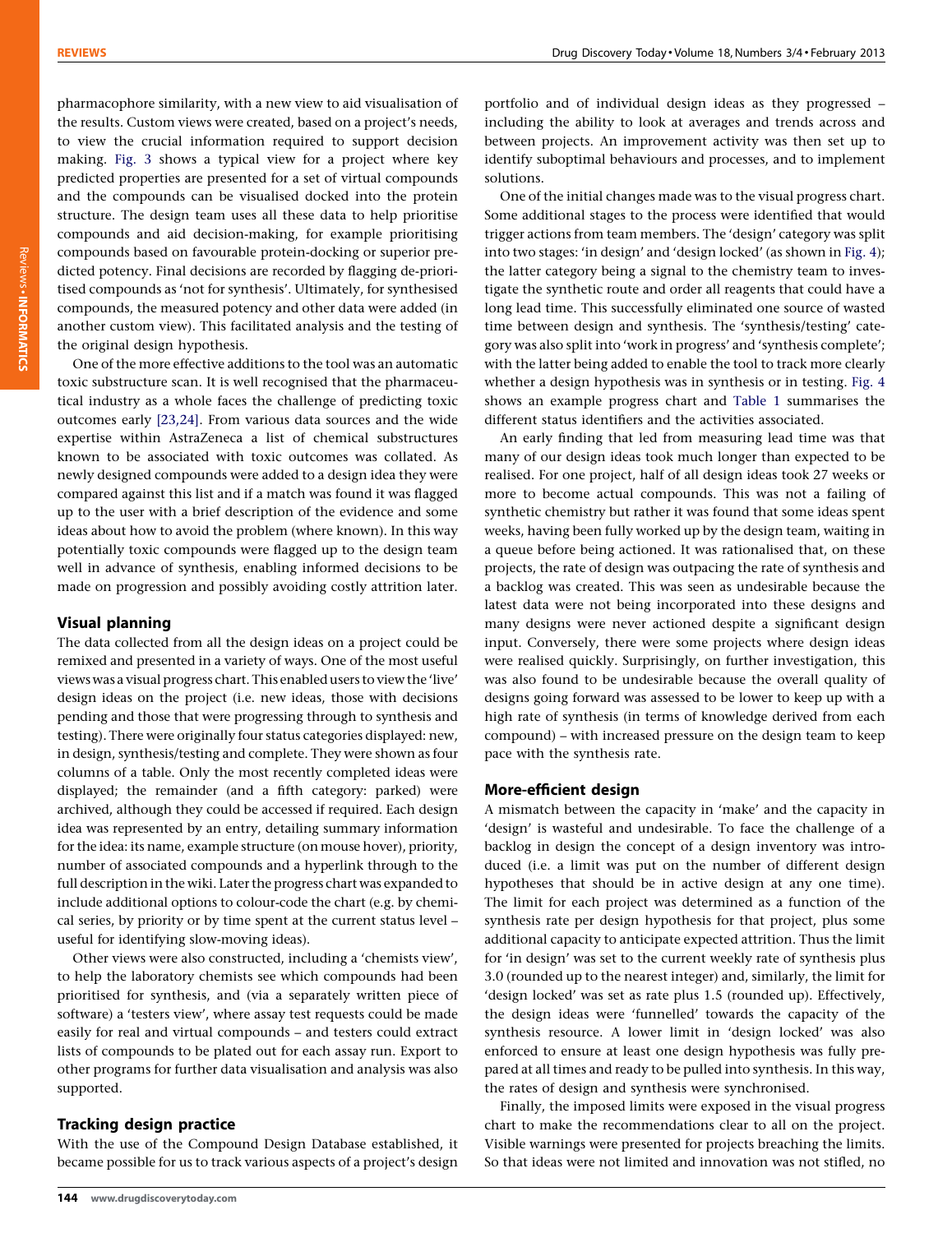pharmacophore similarity, with a new view to aid visualisation of the results. Custom views were created, based on a project's needs, to view the crucial information required to support decision making. [Fig.](#page-2-0) 3 shows a typical view for a project where key predicted properties are presented for a set of virtual compounds and the compounds can be visualised docked into the protein structure. The design team uses all these data to help prioritise compounds and aid decision-making, for example prioritising compounds based on favourable protein-docking or superior predicted potency. Final decisions are recorded by flagging de-prioritised compounds as 'not for synthesis'. Ultimately, for synthesised compounds, the measured potency and other data were added (in another custom view). This facilitated analysis and the testing of the original design hypothesis.

One of the more effective additions to the tool was an automatic toxic substructure scan. It is well recognised that the pharmaceutical industry as a whole faces the challenge of predicting toxic outcomes early [\[23,24\]](#page-6-0). From various data sources and the wide expertise within AstraZeneca a list of chemical substructures known to be associated with toxic outcomes was collated. As newly designed compounds were added to a design idea they were compared against this list and if a match was found it was flagged up to the user with a brief description of the evidence and some ideas about how to avoid the problem (where known). In this way potentially toxic compounds were flagged up to the design team well in advance of synthesis, enabling informed decisions to be made on progression and possibly avoiding costly attrition later.

#### Visual planning

The data collected from all the design ideas on a project could be remixed and presented in a variety of ways. One of the most useful viewswas a visual progress chart. This enabled users to viewthe 'live' design ideas on the project (i.e. new ideas, those with decisions pending and those that were progressing through to synthesis and testing). There were originally four status categories displayed: new, in design, synthesis/testing and complete. They were shown as four columns of a table. Only the most recently completed ideas were displayed; the remainder (and a fifth category: parked) were archived, although they could be accessed if required. Each design idea was represented by an entry, detailing summary information for the idea: its name, example structure (on mouse hover), priority, number of associated compounds and a hyperlink through to the full description in the wiki. Later the progress chart was expanded to include additional options to colour-code the chart (e.g. by chemical series, by priority or by time spent at the current status level – useful for identifying slow-moving ideas).

Other views were also constructed, including a 'chemists view', to help the laboratory chemists see which compounds had been prioritised for synthesis, and (via a separately written piece of software) a 'testers view', where assay test requests could be made easily for real and virtual compounds – and testers could extract lists of compounds to be plated out for each assay run. Export to other programs for further data visualisation and analysis was also supported.

#### Tracking design practice

With the use of the Compound Design Database established, it became possible for us to track various aspects of a project's design

portfolio and of individual design ideas as they progressed – including the ability to look at averages and trends across and between projects. An improvement activity was then set up to identify suboptimal behaviours and processes, and to implement solutions.

One of the initial changes made was to the visual progress chart. Some additional stages to the process were identified that would trigger actions from team members. The 'design' category was split into two stages: 'in design' and 'design locked' (as shown in [Fig.](#page-4-0) 4); the latter category being a signal to the chemistry team to investigate the synthetic route and order all reagents that could have a long lead time. This successfully eliminated one source of wasted time between design and synthesis. The 'synthesis/testing' category was also split into 'work in progress' and 'synthesis complete'; with the latter being added to enable the tool to track more clearly whether a design hypothesis was in synthesis or in testing. [Fig.](#page-4-0) 4 shows an example progress chart and [Table](#page-4-0) 1 summarises the different status identifiers and the activities associated.

An early finding that led from measuring lead time was that many of our design ideas took much longer than expected to be realised. For one project, half of all design ideas took 27 weeks or more to become actual compounds. This was not a failing of synthetic chemistry but rather it was found that some ideas spent weeks, having been fully worked up by the design team, waiting in a queue before being actioned. It was rationalised that, on these projects, the rate of design was outpacing the rate of synthesis and a backlog was created. This was seen as undesirable because the latest data were not being incorporated into these designs and many designs were never actioned despite a significant design input. Conversely, there were some projects where design ideas were realised quickly. Surprisingly, on further investigation, this was also found to be undesirable because the overall quality of designs going forward was assessed to be lower to keep up with a high rate of synthesis (in terms of knowledge derived from each compound) – with increased pressure on the design team to keep pace with the synthesis rate.

#### More-efficient design

A mismatch between the capacity in 'make' and the capacity in 'design' is wasteful and undesirable. To face the challenge of a backlog in design the concept of a design inventory was introduced (i.e. a limit was put on the number of different design hypotheses that should be in active design at any one time). The limit for each project was determined as a function of the synthesis rate per design hypothesis for that project, plus some additional capacity to anticipate expected attrition. Thus the limit for 'in design' was set to the current weekly rate of synthesis plus 3.0 (rounded up to the nearest integer) and, similarly, the limit for 'design locked' was set as rate plus 1.5 (rounded up). Effectively, the design ideas were 'funnelled' towards the capacity of the synthesis resource. A lower limit in 'design locked' was also enforced to ensure at least one design hypothesis was fully prepared at all times and ready to be pulled into synthesis. In this way, the rates of design and synthesis were synchronised.

Finally, the imposed limits were exposed in the visual progress chart to make the recommendations clear to all on the project. Visible warnings were presented for projects breaching the limits. So that ideas were not limited and innovation was not stifled, no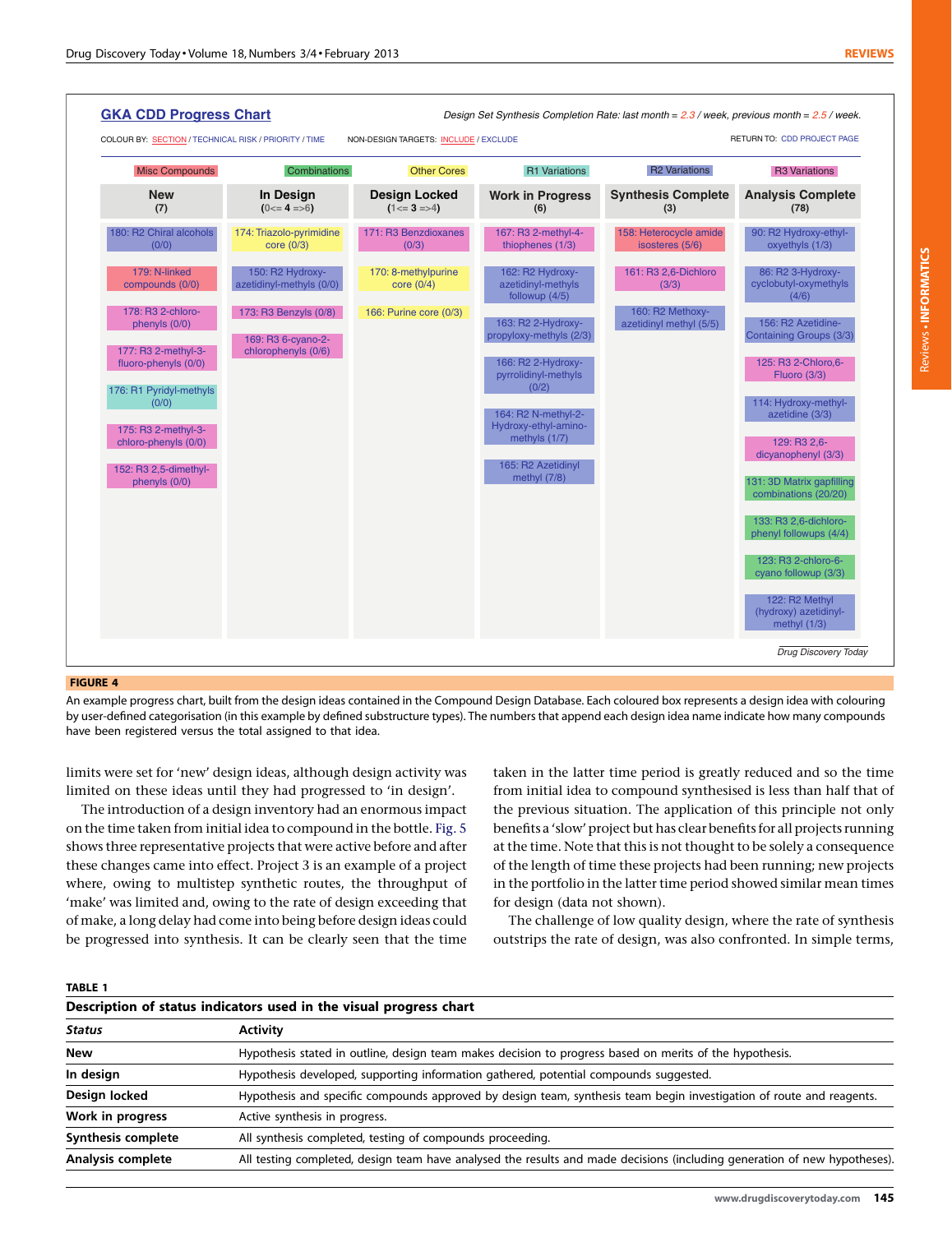<span id="page-4-0"></span>

#### FIGURE 4

An example progress chart, built from the design ideas contained in the Compound Design Database. Each coloured box represents a design idea with colouring by user-defined categorisation (in this example by defined substructure types). The numbers that append each design idea name indicate how many compounds have been registered versus the total assigned to that idea.

limits were set for 'new' design ideas, although design activity was limited on these ideas until they had progressed to 'in design'.

The introduction of a design inventory had an enormous impact on the time taken from initial idea to compound in the bottle. [Fig.](#page-5-0) 5 shows three representative projects that were active before and after these changes came into effect. Project 3 is an example of a project where, owing to multistep synthetic routes, the throughput of 'make' was limited and, owing to the rate of design exceeding that of make, a long delay had come into being before design ideas could be progressed into synthesis. It can be clearly seen that the time

taken in the latter time period is greatly reduced and so the time from initial idea to compound synthesised is less than half that of the previous situation. The application of this principle not only benefits a 'slow' project buthas clear benefits for all projects running at the time. Note that this is not thought to be solely a consequence of the length of time these projects had been running; new projects in the portfolio in the latter time period showed similar mean times for design (data not shown).

The challenge of low quality design, where the rate of synthesis outstrips the rate of design, was also confronted. In simple terms,

TABLE 1

| Description of status indicators used in the visual progress chart                                                        |  |  |  |  |  |
|---------------------------------------------------------------------------------------------------------------------------|--|--|--|--|--|
| <b>Activity</b>                                                                                                           |  |  |  |  |  |
| Hypothesis stated in outline, design team makes decision to progress based on merits of the hypothesis.                   |  |  |  |  |  |
| Hypothesis developed, supporting information gathered, potential compounds suggested.                                     |  |  |  |  |  |
| Hypothesis and specific compounds approved by design team, synthesis team begin investigation of route and reagents.      |  |  |  |  |  |
| Active synthesis in progress.                                                                                             |  |  |  |  |  |
| All synthesis completed, testing of compounds proceeding.                                                                 |  |  |  |  |  |
| All testing completed, design team have analysed the results and made decisions (including generation of new hypotheses). |  |  |  |  |  |
|                                                                                                                           |  |  |  |  |  |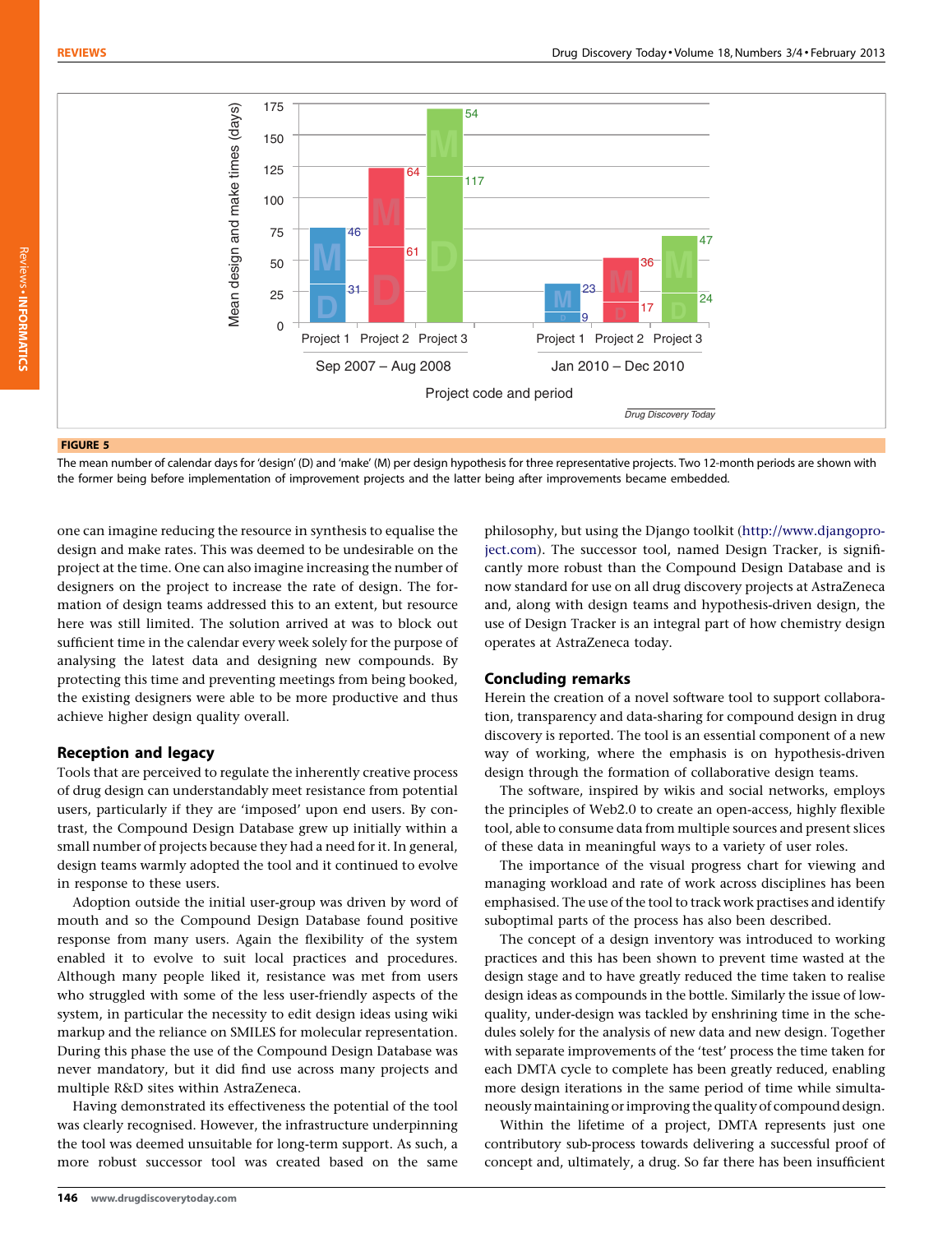<span id="page-5-0"></span>

#### FIGURE 5

The mean number of calendar days for 'design' (D) and 'make' (M) per design hypothesis for three representative projects. Two 12-month periods are shown with the former being before implementation of improvement projects and the latter being after improvements became embedded.

one can imagine reducing the resource in synthesis to equalise the design and make rates. This was deemed to be undesirable on the project at the time. One can also imagine increasing the number of designers on the project to increase the rate of design. The formation of design teams addressed this to an extent, but resource here was still limited. The solution arrived at was to block out sufficient time in the calendar every week solely for the purpose of analysing the latest data and designing new compounds. By protecting this time and preventing meetings from being booked, the existing designers were able to be more productive and thus achieve higher design quality overall.

#### Reception and legacy

Tools that are perceived to regulate the inherently creative process of drug design can understandably meet resistance from potential users, particularly if they are 'imposed' upon end users. By contrast, the Compound Design Database grew up initially within a small number of projects because they had a need for it. In general, design teams warmly adopted the tool and it continued to evolve in response to these users.

Adoption outside the initial user-group was driven by word of mouth and so the Compound Design Database found positive response from many users. Again the flexibility of the system enabled it to evolve to suit local practices and procedures. Although many people liked it, resistance was met from users who struggled with some of the less user-friendly aspects of the system, in particular the necessity to edit design ideas using wiki markup and the reliance on SMILES for molecular representation. During this phase the use of the Compound Design Database was never mandatory, but it did find use across many projects and multiple R&D sites within AstraZeneca.

Having demonstrated its effectiveness the potential of the tool was clearly recognised. However, the infrastructure underpinning the tool was deemed unsuitable for long-term support. As such, a more robust successor tool was created based on the same

philosophy, but using the Django toolkit ([http://www.djangopro](http://www.djangoproject.com/)[ject.com\)](http://www.djangoproject.com/). The successor tool, named Design Tracker, is significantly more robust than the Compound Design Database and is now standard for use on all drug discovery projects at AstraZeneca and, along with design teams and hypothesis-driven design, the use of Design Tracker is an integral part of how chemistry design operates at AstraZeneca today.

#### Concluding remarks

Herein the creation of a novel software tool to support collaboration, transparency and data-sharing for compound design in drug discovery is reported. The tool is an essential component of a new way of working, where the emphasis is on hypothesis-driven design through the formation of collaborative design teams.

The software, inspired by wikis and social networks, employs the principles of Web2.0 to create an open-access, highly flexible tool, able to consume data from multiple sources and present slices of these data in meaningful ways to a variety of user roles.

The importance of the visual progress chart for viewing and managing workload and rate of work across disciplines has been emphasised. The use of the tool to track work practises and identify suboptimal parts of the process has also been described.

The concept of a design inventory was introduced to working practices and this has been shown to prevent time wasted at the design stage and to have greatly reduced the time taken to realise design ideas as compounds in the bottle. Similarly the issue of lowquality, under-design was tackled by enshrining time in the schedules solely for the analysis of new data and new design. Together with separate improvements of the 'test' process the time taken for each DMTA cycle to complete has been greatly reduced, enabling more design iterations in the same period of time while simultaneously maintaining orimproving the quality of compound design.

Within the lifetime of a project, DMTA represents just one contributory sub-process towards delivering a successful proof of concept and, ultimately, a drug. So far there has been insufficient